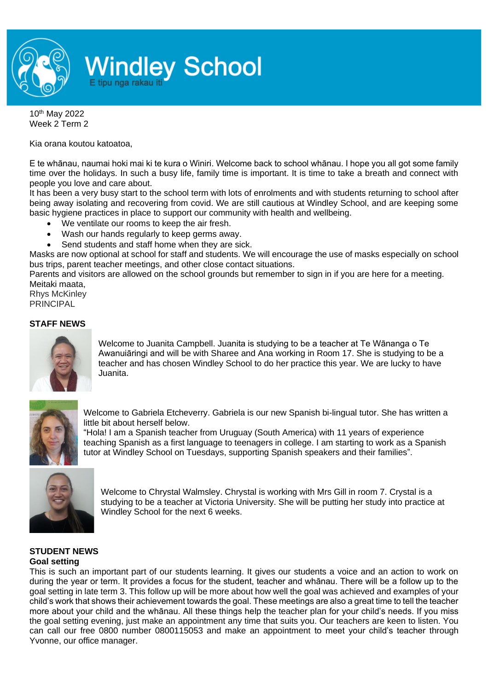

## **Windley School**

10th May 2022 Week 2 Term 2

Kia orana koutou katoatoa,

E te whānau, naumai hoki mai ki te kura o Winiri. Welcome back to school whānau. I hope you all got some family time over the holidays. In such a busy life, family time is important. It is time to take a breath and connect with people you love and care about.

It has been a very busy start to the school term with lots of enrolments and with students returning to school after being away isolating and recovering from covid. We are still cautious at Windley School, and are keeping some basic hygiene practices in place to support our community with health and wellbeing.

- We ventilate our rooms to keep the air fresh.
- Wash our hands regularly to keep germs away.
- Send students and staff home when they are sick.

Masks are now optional at school for staff and students. We will encourage the use of masks especially on school bus trips, parent teacher meetings, and other close contact situations.

Parents and visitors are allowed on the school grounds but remember to sign in if you are here for a meeting. Meitaki maata,

Rhys McKinley PRINCIPAL

## **STAFF NEWS**



Welcome to Juanita Campbell. Juanita is studying to be a teacher at Te Wānanga o Te Awanuiāringi and will be with Sharee and Ana working in Room 17. She is studying to be a teacher and has chosen Windley School to do her practice this year. We are lucky to have Juanita.



Welcome to Gabriela Etcheverry. Gabriela is our new Spanish bi-lingual tutor. She has written a little bit about herself below.

"Hola! I am a Spanish teacher from Uruguay (South America) with 11 years of experience teaching Spanish as a first language to teenagers in college. I am starting to work as a Spanish tutor at Windley School on Tuesdays, supporting Spanish speakers and their families".



Welcome to Chrystal Walmsley. Chrystal is working with Mrs Gill in room 7. Crystal is a studying to be a teacher at Victoria University. She will be putting her study into practice at Windley School for the next 6 weeks.

## **STUDENT NEWS Goal setting**

This is such an important part of our students learning. It gives our students a voice and an action to work on during the year or term. It provides a focus for the student, teacher and whānau. There will be a follow up to the goal setting in late term 3. This follow up will be more about how well the goal was achieved and examples of your child's work that shows their achievement towards the goal. These meetings are also a great time to tell the teacher more about your child and the whānau. All these things help the teacher plan for your child's needs. If you miss the goal setting evening, just make an appointment any time that suits you. Our teachers are keen to listen. You can call our free 0800 number 0800115053 and make an appointment to meet your child's teacher through Yvonne, our office manager.